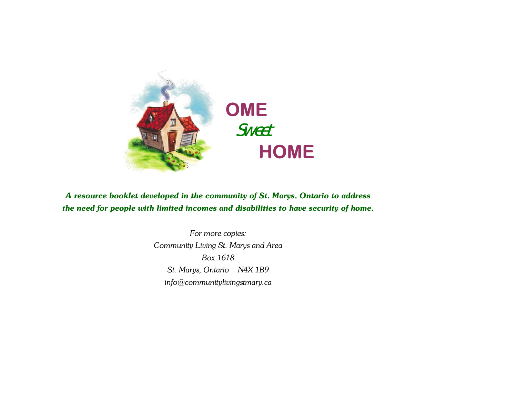

*A resource booklet developed in the community of St. Marys, Ontario to address the need for people with limited incomes and disabilities to have security of home.* 

> *For more copies: Community Living St. Marys and Area Box 1618 St. Marys, Ontario N4X 1B9 info@communitylivingstmary.ca*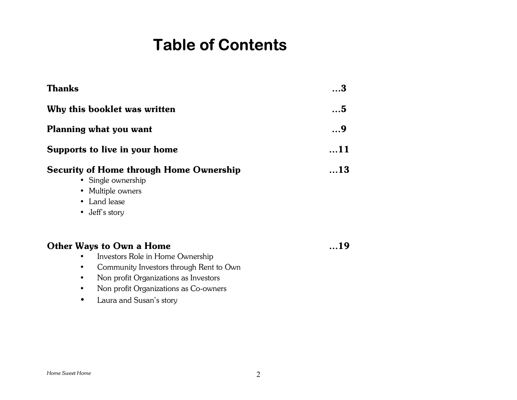## **Table of Contents**

| <b>Thanks</b>                                                                                                                               | . 3 |
|---------------------------------------------------------------------------------------------------------------------------------------------|-----|
| Why this booklet was written                                                                                                                | 5   |
| Planning what you want                                                                                                                      | 9   |
| Supports to live in your home                                                                                                               | 11  |
| <b>Security of Home through Home Ownership</b><br>$\bullet$ Single ownership<br>• Multiple owners<br>• Land lease<br>$\bullet$ Jeff's story | 13  |
| <b>Other Ways to Own a Home</b><br>Investors Role in Home Ownership                                                                         | 19  |

- Community Investors through Rent to Own
- Non profit Organizations as Investors
- Non profit Organizations as Co-owners
- Laura and Susan's story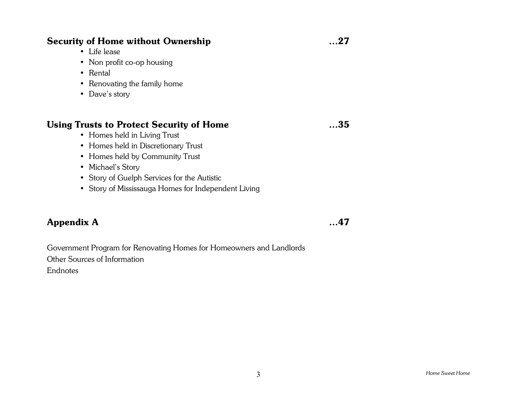### **Security of Home without Ownership**  $\ldots$ **27**

- Life lease
- Non profit co-op housing
- Rental
- Renovating the family home
- Dave's story

### Using Trusts to Protect Security of Home  $...35$

- Homes held in Living Trust
- Homes held in Discretionary Trust
- Homes held by Community Trust
- Michael's Story
- Story of Guelph Services for the Autistic
- Story of Mississauga Homes for Independent Living

### **Appendix A**  $\ldots$ 47

Government Program for Renovating Homes for Homeowners and Landlords Other Sources of Information Endnotes

 $\overline{3}$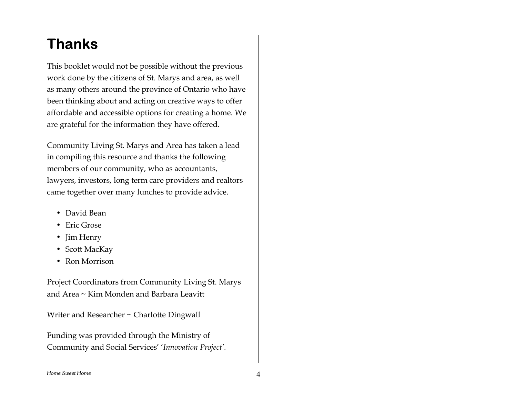### **Thanks**

This booklet would not be possible without the previous work done by the citizens of St. Marys and area, as well as many others around the province of Ontario who have been thinking about and acting on creative ways to offer affordable and accessible options for creating a home. We are grateful for the information they have offered.

Community Living St. Marys and Area has taken a lead in compiling this resource and thanks the following members of our community, who as accountants, lawyers, investors, long term care providers and realtors came together over many lunches to provide advice.

- David Bean
- Eric Grose
- Jim Henry
- Scott MacKay
- Ron Morrison

Project Coordinators from Community Living St. Marys and Area ~ Kim Monden and Barbara Leavitt

Writer and Researcher ~ Charlotte Dingwall

Funding was provided through the Ministry of Community and Social Services' 'Innovation Project'.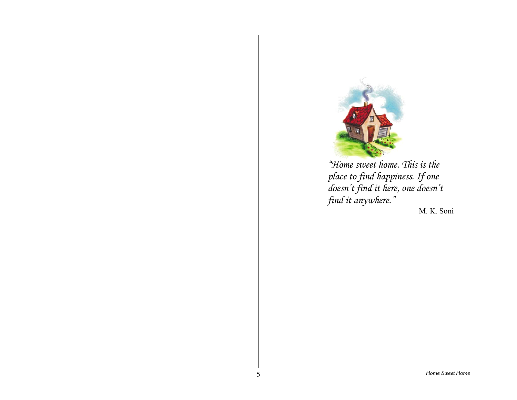

*ìHome sweet home. This is the place to find happiness. If one doesnít find it here, one doesnít*  find it anywhere.<sup>"</sup>

M. K. Soni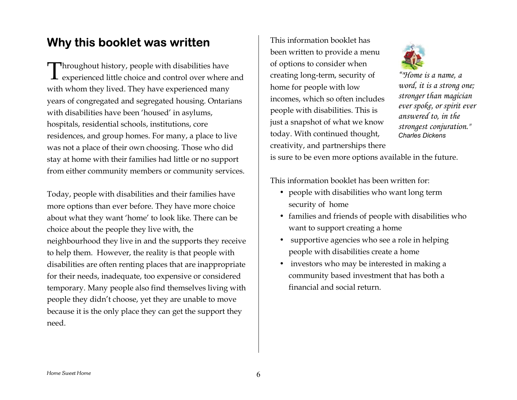### **Why this booklet was written**

Throughout history, people with disabilities have<br>I experienced little choice and control over where experienced little choice and control over where and with whom they lived. They have experienced many years of congregated and segregated housing. Ontarians with disabilities have been 'housed' in asylums, hospitals, residential schools, institutions, core residences, and group homes. For many, a place to live was not a place of their own choosing. Those who did stay at home with their families had little or no support from either community members or community services.

Today, people with disabilities and their families have more options than ever before. They have more choice about what they want 'home' to look like. There can be choice about the people they live with, the neighbourhood they live in and the supports they receive to help them. However, the reality is that people with disabilities are often renting places that are inappropriate for their needs, inadequate, too expensive or considered temporary. Many people also find themselves living with people they didn't choose, yet they are unable to move because it is the only place they can get the support they need.

This information booklet hasbeen written to provide a menu of options to consider when creating long-term, security of home for people with low incomes, which so often includes people with disabilities. This is just a snapshot of what we know today. With continued thought, creativity, and partnerships there



*ì"Home is a name, a word, it is a strong one; stronger than magician ever spoke, or spirit ever answered to, in the strongest conjuration." Charles Dickens*

is sure to be even more options available in the future.

This information booklet has been written for:

- people with disabilities who want long term security of home
- families and friends of people with disabilities who want to support creating a home
- supportive agencies who see a role in helping people with disabilities create a home
- investors who may be interested in making a community based investment that has both a financial and social return.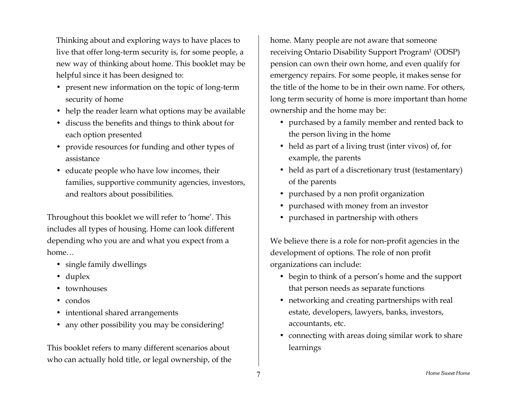Thinking about and exploring ways to have places to live that offer long-term security is, for some people, a new way of thinking about home. This booklet may be helpful since it has been designed to:

- present new information on the topic of long-term security of home
- help the reader learn what options may be available
- discuss the benefits and things to think about for each option presented
- provide resources for funding and other types of assistance
- educate people who have low incomes, their families, supportive community agencies, investors, and realtors about possibilities.

Throughout this booklet we will refer to 'home'. This includes all types of housing. Home can look different depending who you are and what you expect from a home $\ldots$ 

- single family dwellings
- duplex
- townhouses
- condos
- intentional shared arrangements
- any other possibility you may be considering!

This booklet refers to many different scenarios about who can actually hold title, or legal ownership, of the

home. Many people are not aware that someone receiving Ontario Disability Support Program1 (ODSP) pension can own their own home, and even qualify for emergency repairs. For some people, it makes sense for the title of the home to be in their own name. For others, long term security of home is more important than home ownership and the home may be:

- purchased by a family member and rented back to the person living in the home
- held as part of a living trust (inter vivos) of, for example, the parents
- held as part of a discretionary trust (testamentary) of the parents
- purchased by a non profit organization
- purchased with money from an investor
- purchased in partnership with others

We believe there is a role for non-profit agencies in the development of options. The role of non profit organizations can include:

- begin to think of a person's home and the support that person needs as separate functions
- networking and creating partnerships with real estate, developers, lawyers, banks, investors, accountants, etc.
- connecting with areas doing similar work to share learnings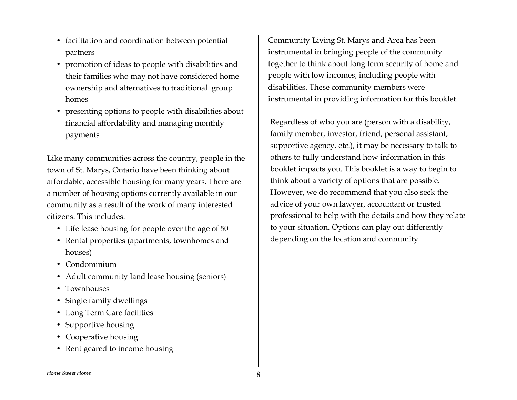- facilitation and coordination between potential partners
- promotion of ideas to people with disabilities and their families who may not have considered home ownership and alternatives to traditional group homes
- presenting options to people with disabilities about financial affordability and managing monthly payments

Like many communities across the country, people in the town of St. Marys, Ontario have been thinking about affordable, accessible housing for many years. There are a number of housing options currently available in our community as a result of the work of many interested citizens. This includes:

- Life lease housing for people over the age of 50
- Rental properties (apartments, townhomes and houses)
- Condominium
- Adult community land lease housing (seniors)
- Townhouses
- Single family dwellings
- Long Term Care facilities
- Supportive housing
- Cooperative housing
- Rent geared to income housing

Community Living St. Marys and Area has been instrumental in bringing people of the community together to think about long term security of home and people with low incomes, including people with disabilities. These community members were instrumental in providing information for this booklet.

Regardless of who you are (person with a disability, family member, investor, friend, personal assistant, supportive agency, etc.), it may be necessary to talk to others to fully understand how information in this booklet impacts you. This booklet is a way to begin to think about a variety of options that are possible. However, we do recommend that you also seek the advice of your own lawyer, accountant or trusted professional to help with the details and how they relate to your situation. Options can play out differently depending on the location and community.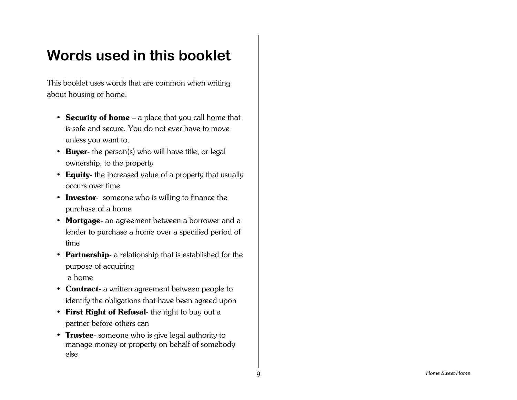### **Words used in this booklet**

This booklet uses words that are common when writing about housing or home.

- **Security of home** a place that you call home that is safe and secure. You do not ever have to moveunless you want to.
- **Buyer** the person(s) who will have title, or legal ownership, to the property
- **Equity** the increased value of a property that usually occurs over time
- **Investor** someone who is willing to finance the purchase of a home
- **Mortgage** an agreement between a borrower and a lender to purchase a home over a specified period of time
- **Partnership** a relationship that is established for the purpose of acquiring a home
- **Contract** a written agreement between people to identify the obligations that have been agreed upon
- **First Right of Refusal** the right to buy out a partner before others can
- **Trustee** someone who is give legal authority to manage money or property on behalf of somebody else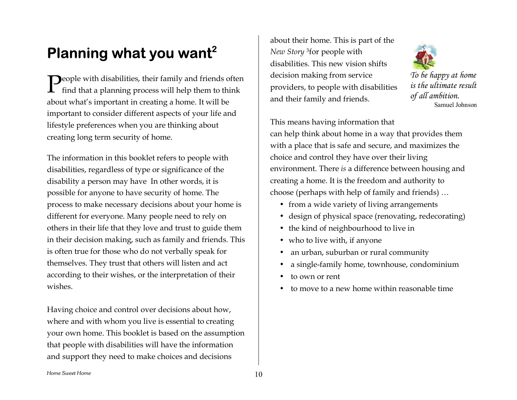## **Planning what you want2**

 $\bigcap$ eople with disabilities, their family and friends often  $\sum$ eople with disabilities, their family and friends ofte:<br>find that a planning process will help them to think about what's important in creating a home. It will be important to consider different aspects of your life and lifestyle preferences when you are thinking about creating long term security of home.

The information in this booklet refers to people with disabilities, regardless of type or significance of the disability a person may have In other words, it is possible for anyone to have security of home. The process to make necessary decisions about your home is different for everyone. Many people need to rely on others in their life that they love and trust to guide them in their decision making, such as family and friends. This is often true for those who do not verbally speak for themselves. They trust that others will listen and act according to their wishes, or the interpretation of their wishes.

Having choice and control over decisions about how, where and with whom you live is essential to creating your own home. This booklet is based on the assumption that people with disabilities will have the information and support they need to make choices and decisions

about their home. This is part of the *New Story* 3for people with disabilities. This new vision shiftsdecision making from service providers, to people with disabilities and their family and friends.



*To be happy at home is the ultimate resultof all ambition.* Samuel Johnson

This means having information that can help think about home in a way that provides them with a place that is safe and secure, and maximizes the choice and control they have over their living environment. There *is* a difference between housing and creating a home. It is the freedom and authority to choose (perhaps with help of family and friends)  $\dots$ 

- from a wide variety of living arrangements
- design of physical space (renovating, redecorating)
- the kind of neighbourhood to live in
- who to live with, if anyone
- an urban, suburban or rural community
- a single-family home, townhouse, condominium
- to own or rent
- to move to a new home within reasonable time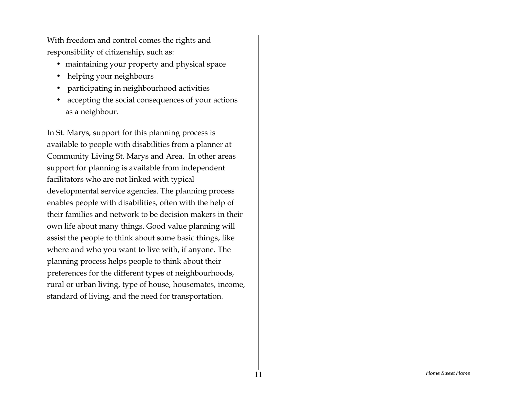With freedom and control comes the rights and responsibility of citizenship, such as:

- maintaining your property and physical space
- helping your neighbours
- participating in neighbourhood activities
- accepting the social consequences of your actions as a neighbour.

In St. Marys, support for this planning process is available to people with disabilities from a planner at Community Living St. Marys and Area. In other areas support for planning is available from independent facilitators who are not linked with typical developmental service agencies. The planning process enables people with disabilities, often with the help of their families and network to be decision makers in their own life about many things. Good value planning will assist the people to think about some basic things, like where and who you want to live with, if anyone. The planning process helps people to think about their preferences for the different types of neighbourhoods, rural or urban living, type of house, housemates, income, standard of living, and the need for transportation.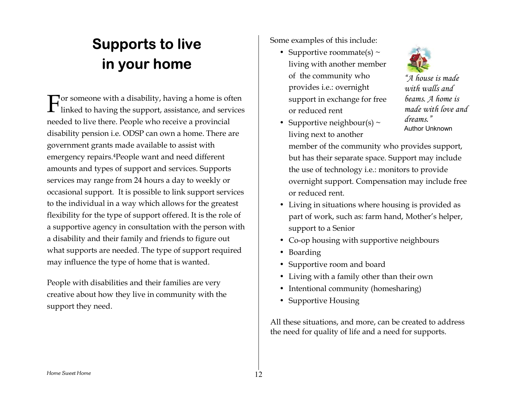# **Supports to live in your home**

 $\Gamma$  or someone with a disability, having a home is often  $\Gamma$  or someone with a disability, having a home is often linked to having the support, assistance, and services needed to live there. People who receive a provincial disability pension i.e. ODSP can own a home. There are government grants made available to assist with emergency repairs.4People want and need different amounts and types of support and services. Supports services may range from 24 hours a day to weekly or occasional support. It is possible to link support services to the individual in a way which allows for the greatest flexibility for the type of support offered. It is the role of a supportive agency in consultation with the person with a disability and their family and friends to figure out what supports are needed. The type of support required may influence the type of home that is wanted.

People with disabilities and their families are very creative about how they live in community with the support they need.

Some examples of this include:

- Supportive roommate(s)  $\sim$ living with another member of the community who provides i.e.: overnight support in exchange for free or reduced rent
- Supportive neighbour(s)  $\sim$ living next to another



*ìA house is made with walls andbeams. A home is made with love and dreams.î*Author Unknown

member of the community who provides support, but has their separate space. Support may include the use of technology i.e.: monitors to provide overnight support. Compensation may include free or reduced rent.

- Living in situations where housing is provided as part of work, such as: farm hand, Mother's helper, support to a Senior
- Co-op housing with supportive neighbours
- Boarding
- Supportive room and board
- Living with a family other than their own
- Intentional community (homesharing)
- Supportive Housing

All these situations, and more, can be created to address the need for quality of life and a need for supports.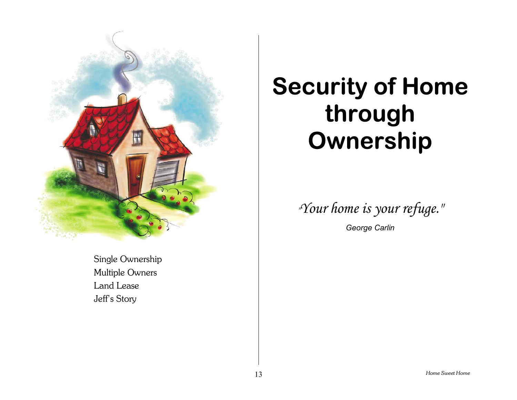

### Single Ownership Multiple Owners Land Lease Jeff's Story

# **Security of Home through Ownership**

*"Your home is your refuge."*

*George Carlin*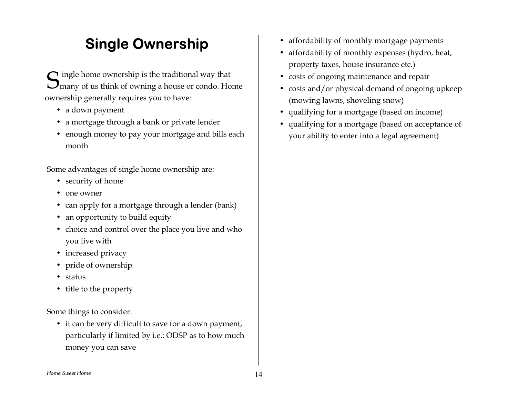### **Single Ownership**

 $\bigcap$  ingle home ownership is the traditional way that  ${\mathbf S}$  ingle home ownership is the traditional way that<br> ${\mathbf S}$ many of us think of owning a house or condo. Home ownership generally requires you to have:

- a down payment
- a mortgage through a bank or private lender
- enough money to pay your mortgage and bills each month

Some advantages of single home ownership are:

- security of home
- one owner
- can apply for a mortgage through a lender (bank)
- an opportunity to build equity
- choice and control over the place you live and who you live with
- increased privacy
- pride of ownership
- status
- title to the property

Some things to consider:

• it can be very difficult to save for a down payment, particularly if limited by i.e.: ODSP as to how much money you can save

- affordability of monthly mortgage payments
- affordability of monthly expenses (hydro, heat, property taxes, house insurance etc.)
- costs of ongoing maintenance and repair
- costs and/or physical demand of ongoing upkeep (mowing lawns, shoveling snow)
- qualifying for a mortgage (based on income)
- qualifying for a mortgage (based on acceptance of your ability to enter into a legal agreement)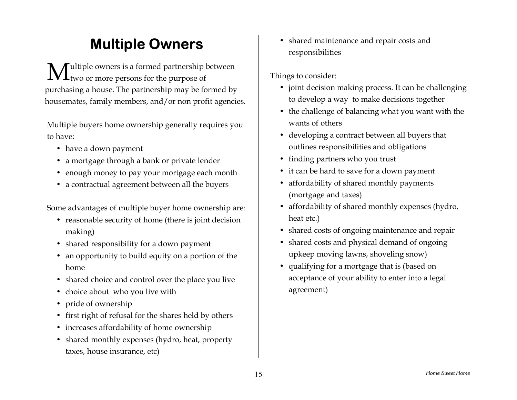### **Multiple Owners**

ultiple owners is a formed partnership between  $\mathbf{M}$ ultiple owners is a formed partnership<br>two or more persons for the purpose of purchasing a house. The partnership may be formed by housemates, family members, and/or non profit agencies.

Multiple buyers home ownership generally requires you to have:

- have a down payment
- a mortgage through a bank or private lender
- enough money to pay your mortgage each month
- a contractual agreement between all the buyers

Some advantages of multiple buyer home ownership are:

- reasonable security of home (there is joint decision making)
- shared responsibility for a down payment
- an opportunity to build equity on a portion of the home
- shared choice and control over the place you live
- choice about who you live with
- pride of ownership
- first right of refusal for the shares held by others
- increases affordability of home ownership
- shared monthly expenses (hydro, heat, property taxes, house insurance, etc)

• shared maintenance and repair costs and responsibilities

- joint decision making process. It can be challenging to develop a way to make decisions together
- the challenge of balancing what you want with the wants of others
- developing a contract between all buyers that outlines responsibilities and obligations
- finding partners who you trust
- it can be hard to save for a down payment
- affordability of shared monthly payments (mortgage and taxes)
- affordability of shared monthly expenses (hydro, heat etc.)
- shared costs of ongoing maintenance and repair
- shared costs and physical demand of ongoing upkeep moving lawns, shoveling snow)
- qualifying for a mortgage that is (based on acceptance of your ability to enter into a legal agreement)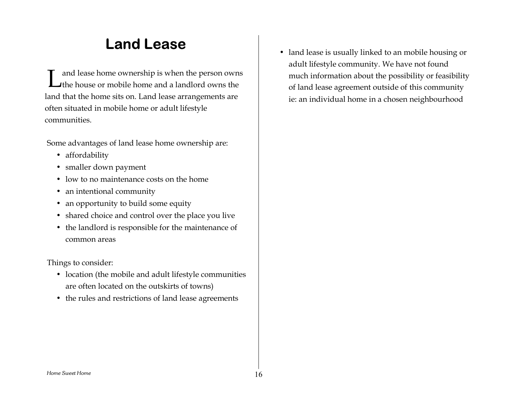### **Land Lease**

and lease home ownership is when the person owns  $\sum$  and lease home ownership is when the person owns the  $\sum$  the house or mobile home and a landlord owns the land that the home sits on. Land lease arrangements are often situated in mobile home or adult lifestyle communities.

Some advantages of land lease home ownership are:

- affordability
- smaller down payment
- low to no maintenance costs on the home
- an intentional community
- an opportunity to build some equity
- shared choice and control over the place you live
- the landlord is responsible for the maintenance of common areas

Things to consider:

- location (the mobile and adult lifestyle communities are often located on the outskirts of towns)
- the rules and restrictions of land lease agreements

• land lease is usually linked to an mobile housing or adult lifestyle community. We have not found much information about the possibility or feasibility of land lease agreement outside of this community ie: an individual home in a chosen neighbourhood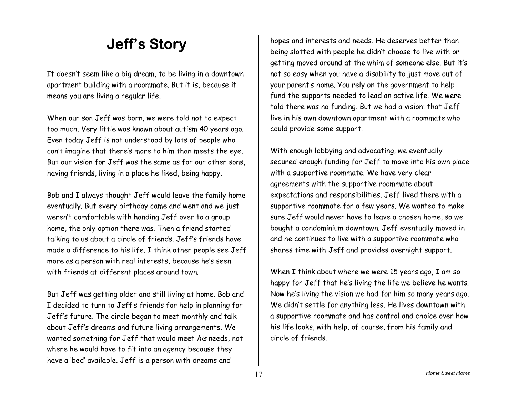### **Jeff's Story**

It doesnít seem like a big dream, to be living in a downtown apartment building with a roommate. But it is, because it means you are living a regular life.

When our son Jeff was born, we were told not to expect too much. Very little was known about autism 40 years ago. Even today Jeff is not understood by lots of people who canít imagine that thereís more to him than meets the eye. But our vision for Jeff was the same as for our other sons, having friends, living in a place he liked, being happy.

Bob and I always thought Jeff would leave the family home eventually. But every birthday came and went and we just weren ít comfortable with handing Jeff over to a group home, the only option there was. Then a friend started talking to us about a circle of friends. Jeff's friends have made a difference to his life. I think other people see Jeff more as a person with real interests, because heís seen with friends at different places around town.

But Jeff was getting older and still living at home. Bob and I decided to turn to Jeffís friends for help in planning for Jeffís future. The circle began to meet monthly and talk about Jeffís dreams and future living arrangements. We wanted something for Jeff that would meet his needs, not where he would have to fit into an agency because they have a 'bed' available. Jeff is a person with dreams and

hopes and interests and needs. He deserves better than being slotted with people he didnít choose to live with or getting moved around at the whim of someone else. But it's not so easy when you have a disability to just move out of your parent's home. You rely on the government to help fund the supports needed to lead an active life. We were told there was no funding. But we had a vision: that Jeff live in his own downtown apartment with a roommate who could provide some support.

With enough lobbying and advocating, we eventually secured enough funding for Jeff to move into his own place with a supportive roommate. We have very clear agreements with the supportive roommate about expectations and responsibilities. Jeff lived there with a supportive roommate for a few years. We wanted to make sure Jeff would never have to leave a chosen home, so we bought a condominium downtown. Jeff eventually moved in and he continues to live with a supportive roommate who shares time with Jeff and provides overnight support.

When I think about where we were 15 years ago, I am so happy for Jeff that he's living the life we believe he wants. Now he's living the vision we had for him so many years ago. We didnít settle for anything less. He lives downtown with a supportive roommate and has control and choice over how his life looks, with help, of course, from his family and circle of friends.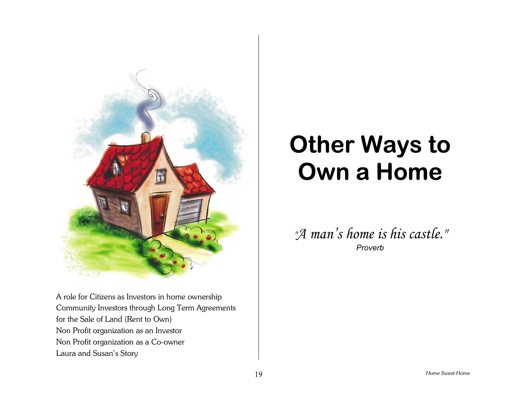

A role for Citizens as Investors in home ownership Community Investors through Long Term Agreements for the Sale of Land (Rent to Own) Non Profit organization as an Investor Non Profit organization as a Co-owner Laura and Susan's Story

# **Other Ways to Own a Home**

*"A manís home is his castle." Proverb*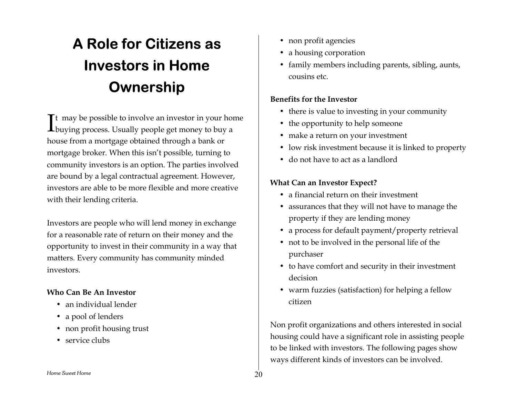# **A Role for Citizens as Investors in Home Own ership**

t may be possible to involve an investor in your home buying process. Usually people get money to buy a house from a mortg a g e o btai ned thr ough a b ank or mortg a g e brok er. W h e n this isnít p ossible, tur nin g to community investors is an option. The parties involved are b ound b y a legal contractual agreement. H owev er, investors are able to be more fle xible and more creativewith their lending criteria. I

Investors are people who will lend money in exchange for a reas o nable rat e of ret urn o n t heir m o n ey and t he opportunity to invest in their community in a way that matters. E ver y community has community minded investors.

### **Who Can Be An Investor**

- an individual lender
- a pool of lenders
- non profit housing trust
- service clubs
- non profit agencies
- a housi ng corporation
- $\bullet$  family members including parents, sibling, aunts, cousins etc.

### **Benefits for the Investor**

- there is value to investing in your community
- the op p ortunity to help someone
- $\bullet$  make a return on your investment
- $\bullet$  low risk investment because it is linked to property
- do not have to act as a landlord

### **W h at C an a n I n v estor Expe ct?**

- a financial return on their investment
- $\bullet~$  assurances that they will not have to manage the pro pert y if t hey are l endin g money
- a process f or d efault payment /property r etrieval
- $\bullet$  not to be involved in the personal life of the p urc haser
- to have comfort and security in their investment decision
- $\bullet \;$  warm fuzzies (satisfaction) for helping a fellow citizen

Non profit organizations and others interested in social housing could have a significant role in assisting people to b e linked with i nvestors. T h e f ollowin g pag es show w a ys different kinds of i nvestors can b e i nvol ved.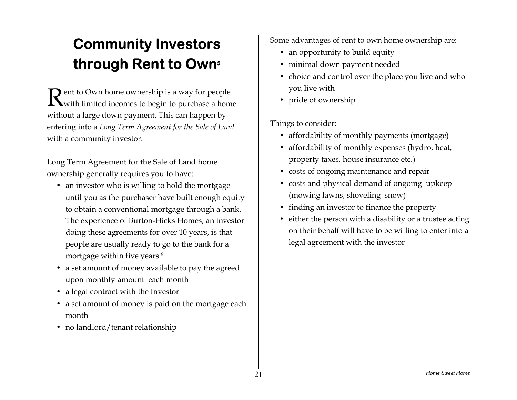# **Community Investors through Rent to Own5**

**D** ent to Own home ownership is a way for people  $\mathbf R$ ent to Own home ownership is a way for people<br>Wwith limited incomes to begin to purchase a home without a large down payment. This can happen by entering into a *Long Term Agreement for the Sale of Land* with a community investor.

Long Term Agreement for the Sale of Land home ownership generally requires you to have:

- an investor who is willing to hold the mortgage until you as the purchaser have built enough equity to obtain a conventional mortgage through a bank. The experience of Burton-Hicks Homes, an investor doing these agreements for over 10 years, is that people are usually ready to go to the bank for <sup>a</sup> mortgage within five years.6
- a set amount of money available to pay the agreed upon monthly amount each month
- a legal contract with the Investor
- a set amount of money is paid on the mortgage each month
- no landlord/tenant relationship

Some advantages of rent to own home ownership are:

- an opportunity to build equity
- minimal down payment needed
- choice and control over the place you live and who you live with
- pride of ownership

- affordability of monthly payments (mortgage)
- affordability of monthly expenses (hydro, heat, property taxes, house insurance etc.)
- costs of ongoing maintenance and repair
- costs and physical demand of ongoing upkeep (mowing lawns, shoveling snow)
- finding an investor to finance the property
- either the person with a disability or a trustee acting on their behalf will have to be willing to enter into a legal agreement with the investor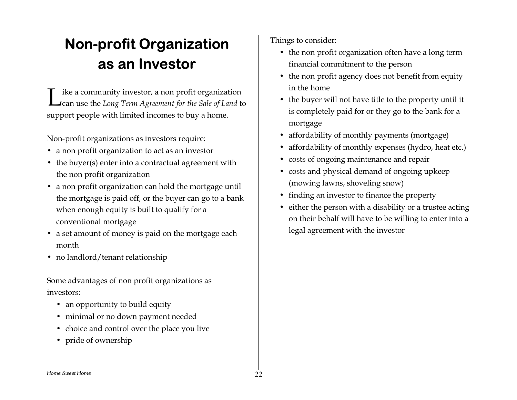# **Non-profit Organization as an Investor**

ike a community investor, a non profit organization I ike a community investor, a non profit organization<br>
Lean use the *Long Term Agreement for the Sale of Land* to support people with limited incomes to buy a home.

Non-profit organizations as investors require:

- a non profit organization to act as an investor
- the buyer(s) enter into a contractual agreement with the non profit organization
- a non profit organization can hold the mortgage until the mortgage is paid off, or the buyer can go to a bank when enough equity is built to qualify for a conventional mortgage
- a set amount of money is paid on the mortgage each month
- no landlord/tenant relationship

Some advantages of non profit organizations as investors:

- an opportunity to build equity
- minimal or no down payment needed
- choice and control over the place you live
- pride of ownership

- the non profit organization often have a long term financial commitment to the person
- the non profit agency does not benefit from equity in the home
- the buyer will not have title to the property until it is completely paid for or they go to the bank for a mortgage
- affordability of monthly payments (mortgage)
- affordability of monthly expenses (hydro, heat etc.)
- costs of ongoing maintenance and repair
- costs and physical demand of ongoing upkeep (mowing lawns, shoveling snow)
- finding an investor to finance the property
- either the person with a disability or a trustee acting on their behalf will have to be willing to enter into a legal agreement with the investor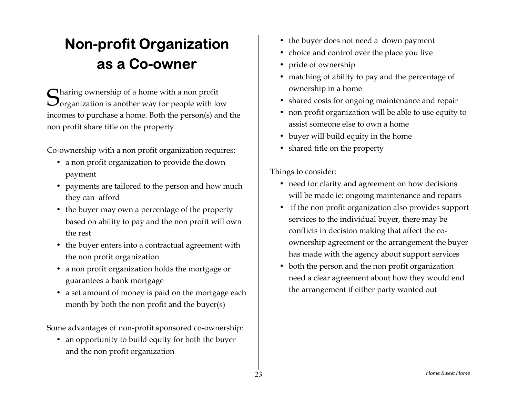# **Non-profit Organization as a Co-owner**

 $\bigcap$  haring ownership of a home with a non profit  ${\mathbf S}$ haring ownership of a home with a non profit<br>Oorganization is another way for people with low incomes to purchase a home. Both the person(s) and the non profit share title on the property.

Co-ownership with a non profit organization requires:

- a non profit organization to provide the down payment
- payments are tailored to the person and how much they can afford
- the buyer may own a percentage of the property based on ability to pay and the non profit will own the rest
- the buyer enters into a contractual agreement with the non profit organization
- a non profit organization holds the mortgage or guarantees a bank mortgage
- a set amount of money is paid on the mortgage each month by both the non profit and the buyer(s)

Some advantages of non-profit sponsored co-ownership:

• an opportunity to build equity for both the buyer and the non profit organization

- the buyer does not need a down payment
- choice and control over the place you live
- pride of ownership
- matching of ability to pay and the percentage of ownership in a home
- shared costs for ongoing maintenance and repair
- non profit organization will be able to use equity to assist someone else to own a home
- buyer will build equity in the home
- shared title on the property

- need for clarity and agreement on how decisions will be made ie: ongoing maintenance and repairs
- if the non profit organization also provides support services to the individual buyer, there may be conflicts in decision making that affect the coownership agreement or the arrangement the buyer has made with the agency about support services
- both the person and the non profit organization need a clear agreement about how they would end the arrangement if either party wanted out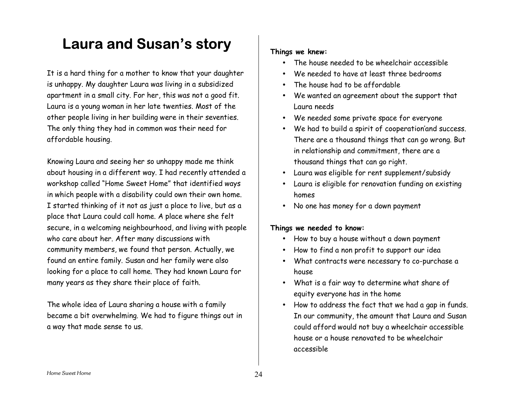### Laura and Susan's story

It is a hard thing for a mother to know that your daughter is unhappy. My daughter Laura was living in a subsidized apartment in a small city. For her, this was not a good fit. Laura is a young woman in her late twenties. Most of the other people living in her building were in their seventies. The only thing they had in common was their need for affordable housing.

Knowing Laura and seeing her so unhappy made me think about housing in a different way. I had recently attended a workshop called "Home Sweet Home" that identified ways in which people with a disability could own their own home. I started thinking of it not as just a place to live, but as a place that Laura could call home. A place where she felt secure, in a welcoming neighbourhood, and living with people who care about her. After many discussions with community members, we found that person. Actually, we found an entire family. Susan and her family were also looking for a place to call home. They had known Laura for many years as they share their place of faith.

The whole idea of Laura sharing a house with a family became a bit overwhelming. We had to figure things out in a way that made sense to us.

#### **Things we knew:**

- The house needed to be wheelchair accessible
- We needed to have at least three bedrooms
- The house had to be affordable
- We wanted an agreement about the suppor<sup>t</sup> that Laura needs
- We needed some private space for everyone
- We had to build a spirit of cooperationíand success. There are a thousand things that can go wrong. But in relationship and commitment, there are a thousand things that can go right.
- Laura was eligible for rent supplement/subsidy
- Laura is eligible for renovation funding on existing homes
- No one has money for a down paymen<sup>t</sup>

#### **Things we needed to know:**

- How to buy a house without a down paymen<sup>t</sup>
- How to find a non profit to support our idea
- What contracts were necessary to co-purchase <sup>a</sup> house
- What is a fair way to determine what share of equity everyone has in the home
- How to address the fact that we had a gap in funds. In our community, the amount that Laura and Susan could afford would not buy a wheelchair accessible house or a house renovated to be wheelchairaccessible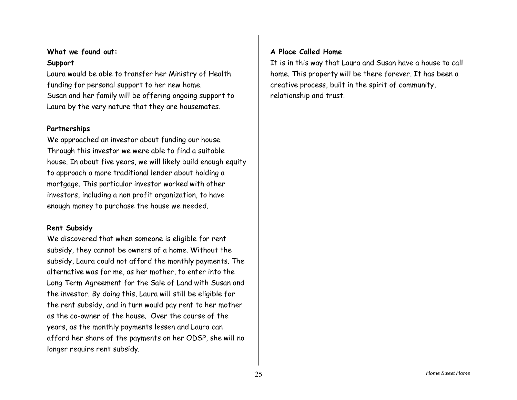### **What we found out: Support**

Laura would be able to transfer her Ministry of Health funding for personal support to her new home. Susan and her family will be offering ongoing support to Laura by the very nature that they are housemates.

#### **Partnerships**

We approached an investor about funding our house. Through this investor we were able to find a suitable house. In about five years, we will likely build enough equity to approach a more traditional lender about holding a mortgage. This particular investor worked with other investors, including a non profit organization, to have enough money to purchase the house we needed.

#### **Rent Subsidy**

We discovered that when someone is eligible for rent subsidy, they cannot be owners of a home. Without the subsidy, Laura could not afford the monthly payments. The alternative was for me, as her mother, to enter into the Long Term Agreement for the Sale of Land with Susan and the investor. By doing this, Laura will still be eligible for the rent subsidy, and in turn would pay rent to her mother as the co-owner of the house. Over the course of the years, as the monthly payments lessen and Laura can afford her share of the payments on her ODSP, she will no longer require rent subsidy.

#### **A Place Called Home**

It is in this way that Laura and Susan have a house to call home. This property will be there forever. It has been a creative process, built in the spirit of community, relationship and trust.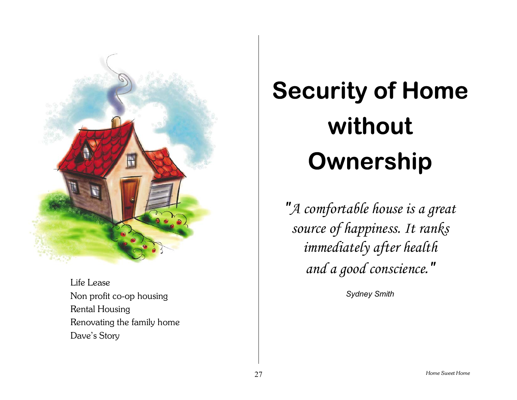

Life Lease Non profit co-op housing Rental Housing Renovating the family home Dave's Story

# **Security of Home without Ownership**

*"A comfortable house is a great source of happiness. It ranks immediately after health and a good conscience."*

*Sydney Smith*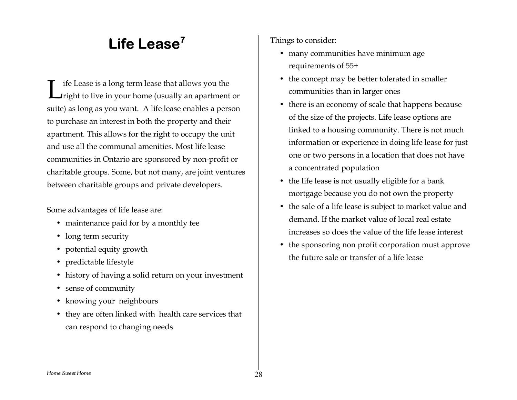### **Life Lease7**

ife Lease is a long term lease that allows you the  $\int$  ife Lease is a long term lease that allows you the  $\int$ right to live in your home (usually an apartment or suite) as long as you want. A life lease enables a person to purchase an interest in both the property and their apartment. This allows for the right to occupy the unit and use all the communal amenities. Most life leasecommunities in Ontario are sponsored by non-profit or charitable groups. Some, but not many, are joint ventures between charitable groups and private developers.

Some advantages of life lease are:

- maintenance paid for by a monthly fee
- long term security
- potential equity growth
- predictable lifestyle
- history of having a solid return on your investment
- sense of community
- knowing your neighbours
- they are often linked with health care services that can respond to changing needs

- many communities have minimum age requirements of 55+
- the concept may be better tolerated in smaller communities than in larger ones
- there is an economy of scale that happens because of the size of the projects. Life lease options are linked to a housing community. There is not much information or experience in doing life lease for just one or two persons in a location that does not have a concentrated population
- the life lease is not usually eligible for a bank mortgage because you do not own the property
- the sale of a life lease is subject to market value and demand. If the market value of local real estateincreases so does the value of the life lease interest
- the sponsoring non profit corporation must approve the future sale or transfer of a life lease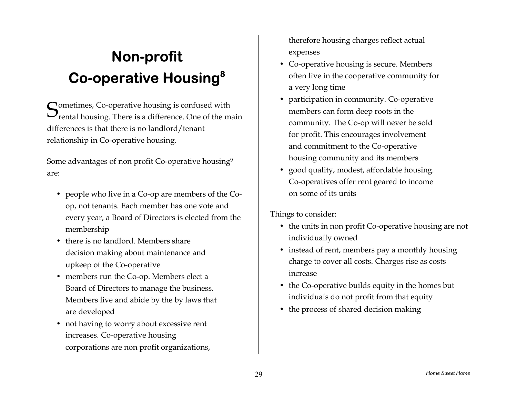# **Non-profit Co-operative Housing8**

**S**ometimes, Co-operative housing is confused with<br>Second housing There is a difference One of the m **P**rental housing. There is a difference. One of the main differences is that there is no landlord/tenant relationship in Co-operative housing.

Some advantages of non profit Co-operative housing9 are:

- people who live in a Co-op are members of the Coop, not tenants. Each member has one vote and every year, a Board of Directors is elected from the membership
- there is no landlord. Members share decision making about maintenance and upkeep of the Co-operative
- members run the Co-op. Members elect a Board of Directors to manage the business. Members live and abide by the by laws that are developed
- not having to worry about excessive rent increases. Co-operative housing corporations are non profit organizations,

therefore housing charges reflect actual expenses

- Co-operative housing is secure. Members often live in the cooperative community for a very long time
- participation in community. Co-operative members can form deep roots in the community. The Co-op will never be sold for profit. This encourages involvement and commitment to the Co-operative housing community and its members
- good quality, modest, affordable housing. Co-operatives offer rent geared to income on some of its units

- the units in non profit Co-operative housing are not individually owned
- instead of rent, members pay a monthly housing charge to cover all costs. Charges rise as costs increase
- the Co-operative builds equity in the homes but individuals do not profit from that equity
- the process of shared decision making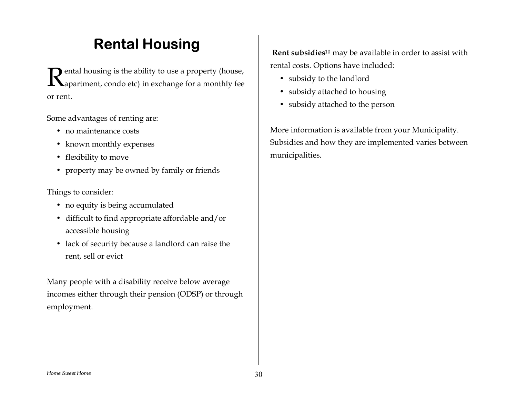## **Rental Housing**

**R** ental housing is the ability to use a property (house, appropention condo etc) in exchange for a monthly fee apartment, condo etc) in exchange for a monthly fee or rent.

Some advantages of renting are:

- no maintenance costs
- known monthly expenses
- flexibility to move
- property may be owned by family or friends

Things to consider:

- no equity is being accumulated
- difficult to find appropriate affordable and/or accessible housing
- lack of security because a landlord can raise the rent, sell or evict

Many people with a disability receive below average incomes either through their pension (ODSP) or through employment.

**Rent subsidies**10 may be available in order to assist with rental costs. Options have included:

- subsidy to the landlord
- subsidy attached to housing
- subsidy attached to the person

More information is available from your Municipality. Subsidies and how they are implemented varies between municipalities.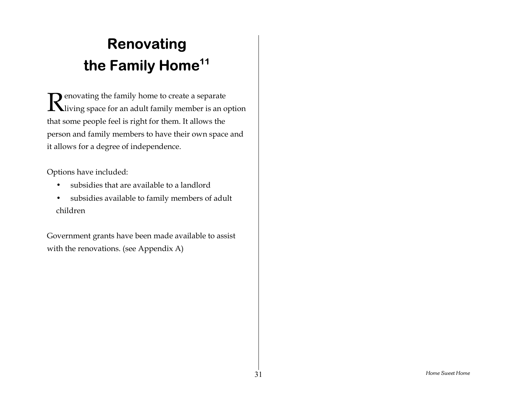# **Renovating the Family Home11**

 $\mathbf R$  enovating the family home to create a separate<br> $\mathbf R$ living space for an adult family member is an o **IN** living space for an adult family member is an option that some people feel is right for them. It allows the person and family members to have their own space and it allows for a degree of independence.

Options have included:

- subsidies that are available to a landlord
- subsidies available to family members of adult children

Government grants have been made available to assist with the renovations. (see Appendix A)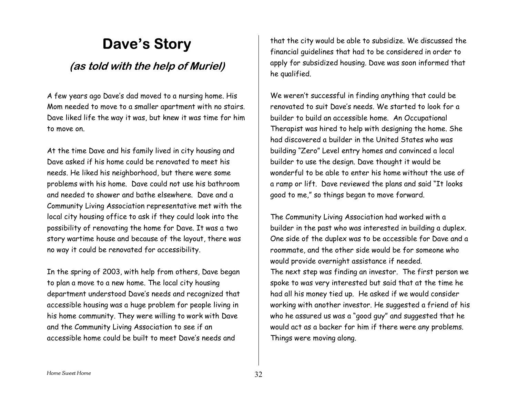### Dave's Story

### **(as told with the help of Muriel)**

A few years ago Daveís dad moved to a nursing home. His Mom needed to move to a smaller apartment with no stairs. Dave liked life the way it was, but knew it was time for him to move on.

At the time Dave and his family lived in city housing and Dave asked if his home could be renovated to meet his needs. He liked his neighborhood, but there were some problems with his home. Dave could not use his bathroom and needed to shower and bathe elsewhere. Dave and a Community Living Association representative met with the local city housing office to ask if they could look into the possibility of renovating the home for Dave. It was a two story wartime house and because of the layout, there was no way it could be renovated for accessibility.

In the spring of 2003, with help from others, Dave began to plan a move to a new home. The local city housing department understood Daveís needs and recognized that accessible housing was a huge problem for people living in his home community. They were willing to work with Dave and the Community Living Association to see if an accessible home could be built to meet Daveís needs and

that the city would be able to subsidize. We discussed the financial guidelines that had to be considered in order to apply for subsidized housing. Dave was soon informed that he qualified.

We werenít successful in finding anything that could be renovated to suit Daveís needs. We started to look for <sup>a</sup> builder to build an accessible home. An Occupational Therapist was hired to help with designing the home. She had discovered a builder in the United States who was building "Zero" Level entry homes and convinced a local builder to use the design. Dave thought it would be wonderful to be able to enter his home without the use of a ramp or lift. Dave reviewed the plans and said "It looks good to me," so things began to move forward.

The Community Living Association had worked with a builder in the pas<sup>t</sup> who was interested in building a duplex. One side of the duplex was to be accessible for Dave and a roommate, and the other side would be for someone who would provide overnight assistance if needed. The next step was finding an investor. The first person we spoke to was very interested but said that at the time he had all his money tied up. He asked if we would consider working with another investor. He suggested a friend of his who he assured us was a "good guy" and suggested that he would act as a backer for him if there were any problems. Things were moving along.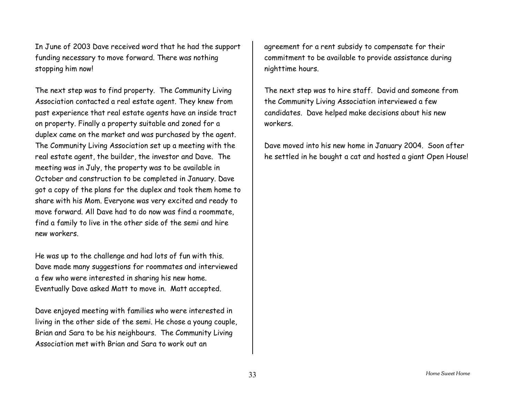In June of 2003 Dave received word that he had the support funding necessary to move forward. There was nothing stopping him now!

The next step was to find property. The Community Living Association contacted a real estate agent. They knew from past experience that real estate agents have an inside tract on property. Finally a property suitable and zoned for <sup>a</sup> duplex came on the market and was purchased by the agent. The Community Living Association set up a meeting with the real estate agent, the builder, the investor and Dave. The meeting was in July, the property was to be available in October and construction to be completed in January. Dave got a copy of the plans for the duplex and took them home to share with his Mom. Everyone was very excited and ready to move forward. All Dave had to do now was find <sup>a</sup> roommate, find a family to live in the other side of the semi and hire new workers.

He was up to the challenge and had lots of fun with this. Dave made many suggestions for roommates and interviewed a few who were interested in sharing his new home. Eventually Dave asked Matt to move in. Matt accepted.

Dave enjoyed meeting with families who were interested in living in the other side of the semi. He chose a young couple, Brian and Sara to be his neighbours. The Community Living Association met with Brian and Sara to work out an

agreement for a rent subsidy to compensate for their commitment to be available to provide assistance during nighttime hours.

The next step was to hire staff. David and someone from the Community Living Association interviewed a few candidates. Dave helped make decisions about his new workers.

Dave moved into his new home in January 2004. Soon after he settled in he bought a cat and hosted a giant Open House!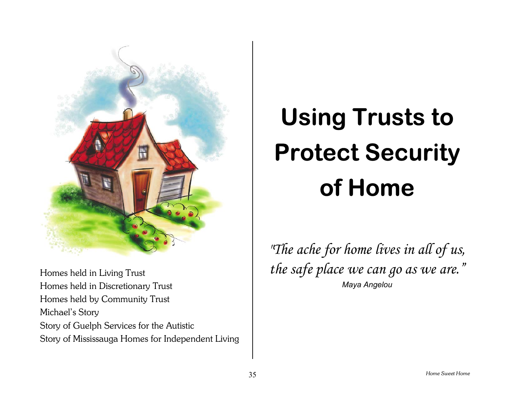

 Homes held in Living Trust Homes held in Discretionary Trust Homes held by Community Trust Michael's Story Story of Guelph Services for the Autistic Story of Mississauga Homes for Independent Living

# **Using Trusts to Protect Security of Home**

*"The ache for home lives in all of us,*  the safe place we can go as we are.<sup>"</sup> *Maya Angelou*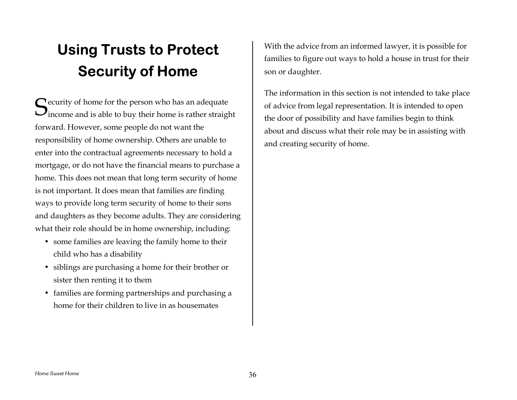# **Using Trusts to Protect Security of Home**

 $S_{\text{income and is able to buy their home is rather strain}}$ income and is able to buy their home is rather straight forward. However, some people do not want the responsibility of home ownership. Others are unable to enter into the contractual agreements necessary to hold a mortgage, or do not have the financial means to purchase a home. This does not mean that long term security of home is not important. It does mean that families are finding ways to provide long term security of home to their sons and daughters as they become adults. They are considering what their role should be in home ownership, including:

- some families are leaving the family home to their child who has a disability
- siblings are purchasing a home for their brother or sister then renting it to them
- families are forming partnerships and purchasing a home for their children to live in as housemates

With the advice from an informed lawyer, it is possible for families to figure out ways to hold a house in trust for their son or daughter.

The information in this section is not intended to take place of advice from legal representation. It is intended to open the door of possibility and have families begin to think about and discuss what their role may be in assisting with and creating security of home.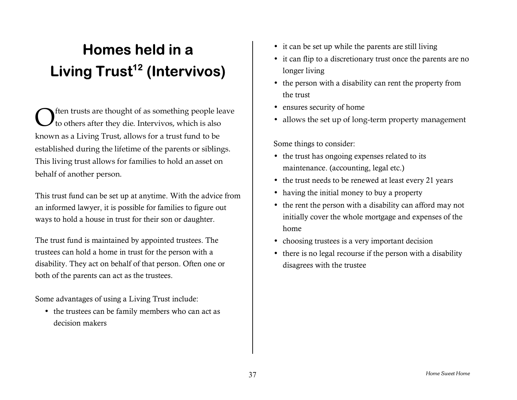# **Homes held in a Living Trust12 (Intervivos)**

ften trusts are thought of as something people leave to others after they die. Intervivos, which is also known as a Living Trust, allows for a trust fund to be established during the lifetime of the parents or siblings. This living trust allows for families to hold an asset on behalf of another person. O

This trust fund can be set up at anytime. With the advice from an informed lawyer, it is possible for families to figure out ways to hold a house in trust for their son or daughter.

The trust fund is maintained by appointed trustees. The trustees can hold a home in trust for the person with a disability. They act on behalf of that person. Often one or both of the parents can act as the trustees.

Some advantages of using a Living Trust include:

• the trustees can be family members who can act as decision makers

- it can be set up while the parents are still living
- it can flip to a discretionary trust once the parents are no longer living
- the person with a disability can rent the property from the trust
- ensures security of home
- allows the set up of long-term property management

Some things to consider:

- the trust has ongoing expenses related to its maintenance. (accounting, legal etc.)
- the trust needs to be renewed at least every 21 years
- having the initial money to buy a property
- the rent the person with a disability can afford may not initially cover the whole mortgage and expenses of the home
- choosing trustees is a very important decision
- there is no legal recourse if the person with a disability disagrees with the trustee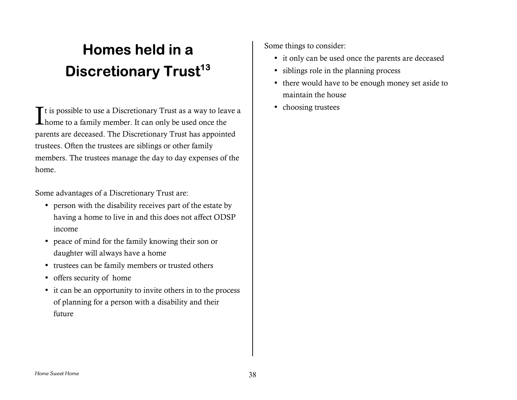# **Homes held in a Discretionary Trust13**

It is possible to use a Discretionary Trust as a way to leave a  $\begin{array}{|l|} \hline \end{array}$  choosing trustees home to a family member. It can only be used once the  $\blacktriangle$  home to a family member. It can only be used once the parents are deceased. The Discretionary Trust has appointed trustees. Often the trustees are siblings or other family members. The trustees manage the day to day expenses of the home.

Some advantages of a Discretionary Trust are:

- person with the disability receives part of the estate by having a home to live in and this does not affect ODSP income
- peace of mind for the family knowing their son or daughter will always have a home
- trustees can be family members or trusted others
- offers security of home
- it can be an opportunity to invite others in to the process of planning for a person with a disability and their future

Some things to consider:

- it only can be used once the parents are deceased
- siblings role in the planning process
- there would have to be enough money set aside to maintain the house
-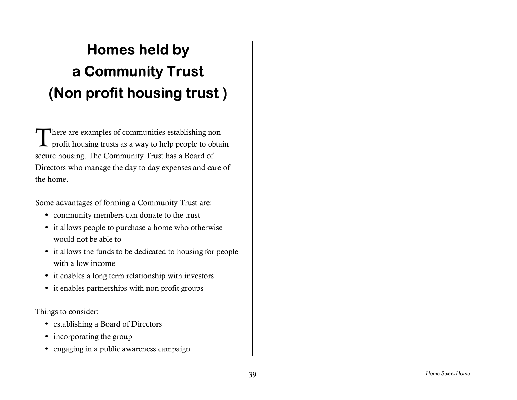# **Homes held by a Community Trust (Non profit housing trust )**

There are examples of communities establishing non<br>profit housing trusts as a way to help people to obta profit housing trusts as a way to help people to obtain secure housing. The Community Trust has a Board of Directors who manage the day to day expenses and care of the home.

Some advantages of forming a Community Trust are:

- community members can donate to the trust
- it allows people to purchase a home who otherwise would not be able to
- it allows the funds to be dedicated to housing for people with a low income
- it enables a long term relationship with investors
- it enables partnerships with non profit groups

- establishing a Board of Directors
- incorporating the group
- engaging in a public awareness campaign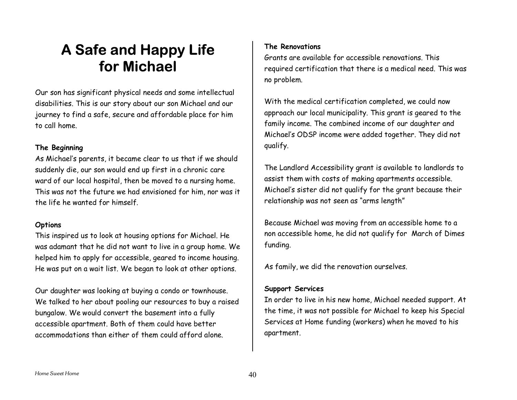### **A Safe and Happy Life for Michael**

Our son has significant physical needs and some intellectual disabilities. This is our story about our son Michael and our journey to find a safe, secure and affordable place for him to call home.

#### **The Beginning**

As Michaelís parents, it became clear to us that if we should suddenly die, our son would end up first in a chronic care ward of our local hospital, then be moved to a nursing home. This was not the future we had envisioned for him, nor was it the life he wanted for himself.

### **Options**

This inspired us to look at housing options for Michael. He was adamant that he did not want to live in a group home. We helped him to apply for accessible, geared to income housing. He was put on a wait list. We began to look at other options.

Our daughter was looking at buying a condo or townhouse. We talked to her about pooling our resources to buy a raised bungalow. We would convert the basement into a fully accessible apartment. Both of them could have better accommodations than either of them could afford alone.

### **The Renovations**

Grants are available for accessible renovations. This required certification that there is a medical need. This was no problem.

With the medical certification completed, we could now approach our local municipality. This grant is geared to the family income. The combined income of our daughter and Michael's ODSP income were added together. They did not qualify.

The Landlord Accessibility grant is available to landlords to assist them with costs of making apartments accessible. Michaelís sister did not qualify for the grant because their relationship was not seen as "arms length"

Because Michael was moving from an accessible home to a non accessible home, he did not qualify for March of Dimes funding.

As family, we did the renovation ourselves.

#### **Support Services**

In order to live in his new home, Michael needed support. At the time, it was not possible for Michael to keep his Special Services at Home funding (workers) when he moved to his apartment.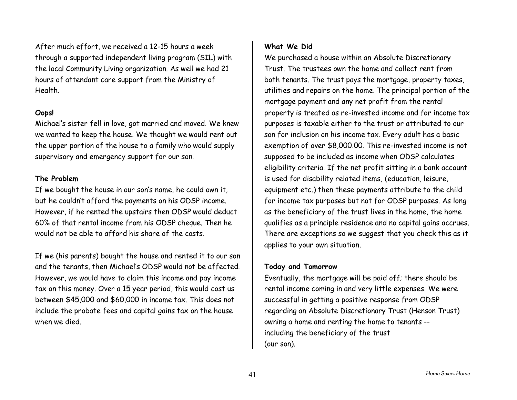After much effort, we received a 12-15 hours a week through a supported independent living program (SIL) with the local Community Living organization. As well we had 21 hours of attendant care support from the Ministry of Health.

#### **Oops!**

Michaelís sister fell in love, got married and moved. We knew we wanted to keep the house. We thought we would rent out the upper portion of the house to a family who would supply supervisory and emergency support for our son.

#### **The Problem**

If we bought the house in our son's name, he could own it, but he couldnít afford the payments on his ODSP income. However, if he rented the upstairs then ODSP would deduct 60% of that rental income from his ODSP cheque. Then he would not be able to afford his share of the costs.

If we (his parents) bought the house and rented it to our son and the tenants, then Michael's ODSP would not be affected. However, we would have to claim this income and pay income tax on this money. Over a 15 year period, this would cost us between \$45,000 and \$60,000 in income tax. This does not include the probate fees and capital gains tax on the house when we died.

### **What We Did**

We purchased a house within an Absolute Discretionary Trust. The trustees own the home and collect rent from both tenants. The trust pays the mortgage, property taxes, utilities and repairs on the home. The principal portion of the mortgage payment and any net profit from the rental property is treated as re-invested income and for income tax purposes is taxable either to the trust or attributed to our son for inclusion on his income tax. Every adult has a basic exemption of over \$8,000.00. This re-invested income is not supposed to be included as income when ODSP calculates eligibility criteria. If the net profit sitting in a bank account is used for disability related items, (education, leisure, equipment etc.) then these payments attribute to the child for income tax purposes but not for ODSP purposes. As long as the beneficiary of the trust lives in the home, the home qualifies as a principle residence and no capital gains accrues. There are exceptions so we suggest that you check this as it applies to your own situation.

#### **Today and Tomorrow**

Eventually, the mortgage will be paid off; there should be rental income coming in and very little expenses. We were successful in getting a positive response from ODSP regarding an Absolute Discretionary Trust (Henson Trust) owning a home and renting the home to tenants - including the beneficiary of the trust (our son).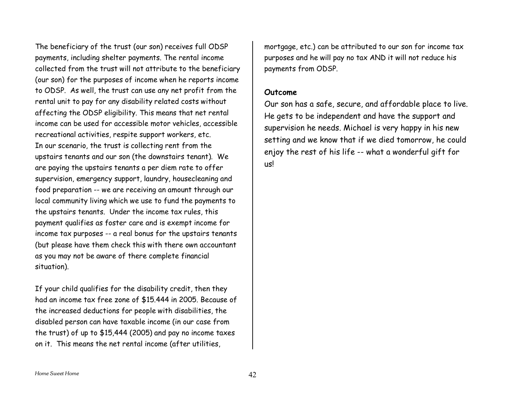The beneficiary of the trust (our son) receives full ODSP payments, including shelter payments. The rental income collected from the trust will not attribute to the beneficiary (our son) for the purposes of income when he reports income to ODSP. As well, the trust can use any net profit from the rental unit to pay for any disability related costs without affecting the ODSP eligibility. This means that net rental income can be used for accessible motor vehicles, accessible recreational activities, respite support workers, etc. In our scenario, the trust is collecting rent from the upstairs tenants and our son (the downstairs tenant). We are paying the upstairs tenants a per diem rate to offer supervision, emergency support, laundry, housecleaning and food preparation -- we are receiving an amount through our local community living which we use to fund the payments to the upstairs tenants. Under the income tax rules, this payment qualifies as foster care and is exempt income for income tax purposes -- <sup>a</sup> real bonus for the upstairs tenants (but please have them check this with there own accountant as you may not be aware of there complete financial situation).

If your child qualifies for the disability credit, then they had an income tax free zone of \$15.444 in 2005. Because of the increased deductions for people with disabilities, the disabled person can have taxable income (in our case from the trust) of up to \$15,444 (2005) and pay no income taxes on it. This means the net rental income (after utilities,

mortgage, etc.) can be attributed to our son for income tax purposes and he will pay no tax AND it will not reduce his payments from ODSP.

#### **Outcome**

Our son has a safe, secure, and affordable place to live. He gets to be independent and have the support and supervision he needs. Michael is very happy in his new setting and we know that if we died tomorrow, he could enjoy the rest of his life -- what a wonderful gift for us!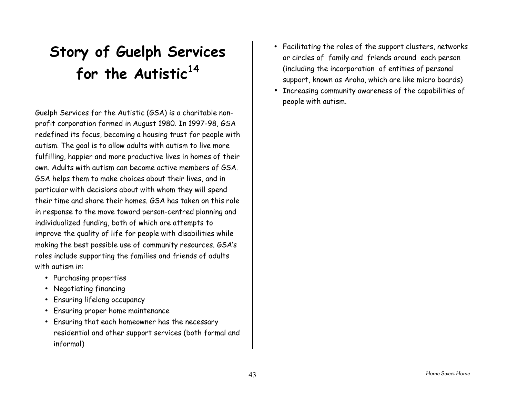# **Story of Guelph Services for the Autistic<sup>14</sup>**

Guelph Services for the Autistic (GSA) is a charitable nonprofit corporation formed in August 1980. In 1997-98, GSA redefined its focus, becoming a housing trust for people with autism. The goal is to allow adults with autism to live more fulfilling, happier and more productive lives in homes of their own. Adults with autism can become active members of GSA. GSA helps them to make choices about their lives, and in particular with decisions about with whom they will spend their time and share their homes. GSA has taken on this role in response to the move toward person-centred planning and individualized funding, both of which are attempts to improve the quality of life for people with disabilities while making the best possible use of community resources. GSAís roles include supporting the families and friends of adults with autism in:

- Purchasing properties
- Negotiating financing
- Ensuring lifelong occupancy
- Ensuring proper home maintenance
- Ensuring that each homeowner has the necessary residential and other support services (both formal and informal)
- Facilitating the roles of the support clusters, networks or circles of family and friends around each person (including the incorporation of entities of personal support, known as Aroha, which are like micro boards)
- Increasing community awareness of the capabilities of people with autism.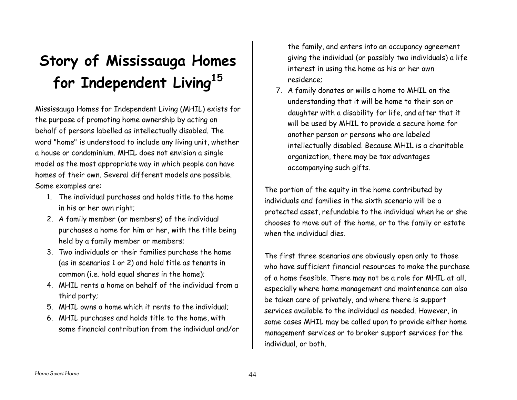# **St o ry o f Mississauga Ho m es for Independent Living<sup>15</sup>**

Mississa u g a Hom es for I n d e p e n den t Livi n g ( MHIL) exis t s for the purpose of promoting home ownership by acting on behalf of persons labelled as intellectually disabled. The word "home" is understood to include any living unit, whether a house or condominiu m. MHIL does not envision a singl emodel as the most appropriate way in which people can have homes of their own. Several different models are possible. So me exa mples are:

- 1. The individual p urchases and holds title tothe homein his or her own right;
- 2. A family member (or members) of the individual purchases a home for him or her, with the title being held b y a f amily memb er or memb ers;
- 3. Two individuals or their families purchase the home (as in scenarios 1 or 2) and hold title as tenants in c o m m on (i.e. h old eq u al sh ares i n t he h o m e);
- 4. MHIL r ents a home on behalf of t he i ndivi dual from athird p art y;
- 5. MHILowns a home which i t rentsto the individual;
- 6. M H I L purc h a s e s an d hold s title to the home, with some financial c ontribution from t he individual <sup>a</sup>nd/or

the family, and enters into an occupancy agreement giving the individual (or possibly two individuals) a life interest in using the home as his or her own residence;

7. A family donates or wills a home to MHIL on the understanding that it will be home to their son or daughter with a disability for life, and after that it will b e us e d b y M H I L to pro vid e a s ecure home f or another person or persons who are labeled intellectually disabled. Because MHIL is a charitable organization, there may be tax advantages accompanying such gifts.

The portion of the equity in the home contributed by individuals and families in the sixth scenario will be a protected asset, refundable to the individual when he or she chooses to move out of the home, or to the family or estate when the individual dies.

The firs t t hree scenarios are obviousl y o pen onl y t o t hose who have sufficient financial resources to make the purchase of a home feasible. There may not be a role for MHIL at all, especially where home management and maintenance can also be taken care of privately, and where there is support services available to the individual as needed. However, in some cases MHIL may be called upon to provide either home management services or to broker support services for the individual, or b ot h.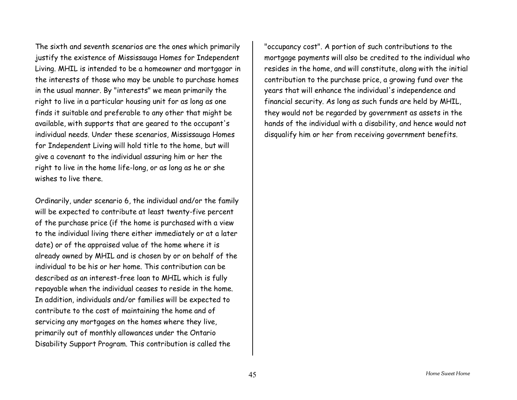The sixth and seventh scenarios are the ones which primarily justify the existence of Mississauga Homes for Independent Living. MHIL is intended to be a homeowner and mortgagor in the interests of those who may be unable to purchase homes in the usual manner. By "interests" we mean primarily the right to live in a particular housing unit for as long as one finds it suitable and preferable to any other that might be available, with supports that are geared to the occupant's individual needs. Under these scenarios, Mississauga Homes for Independent Living will hold title to the home, but will give a covenant to the individual assuring him or her the right to live in the home life-long, or as long as he or she wishes to live there.

Ordinarily, under scenario 6, the individual and/or the family will be expected to contribute at least twenty-five percent of the purchase price (if the home is purchased with a view to the individual living there either immediately or at a later date) or of the appraised value of the home where it is already owned by MHIL and is chosen by or on behalf of the individual to be his or her home. This contribution can be described as an interest-free loan to MHIL which is fully repayable when the individual ceases to reside in the home. In addition, individuals and/or families will be expected to contribute to the cost of maintaining the home and of servicing any mortgages on the homes where they live, primarily out of monthly allowances under the Ontario Disability Support Program. This contribution is called the

"occupancy cost". A portion of such contributions to the mortgage payments will also be credited to the individual who resides in the home, and will constitute, along with the initial contribution to the purchase price, a growing fund over the years that will enhance the individual's independence and financial security. As long as such funds are held by MHIL, they would not be regarded by government as assets in the hands of the individual with a disability, and hence would not disqualify him or her from receiving government benefits.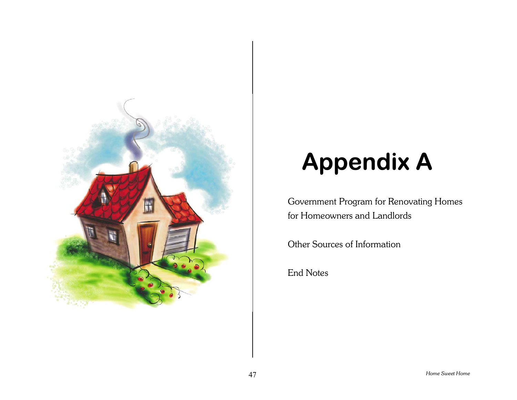

# **Appendix A**

Government Program for Renovating Homes for Homeowners and Landlords

Other Sources of Information

End Notes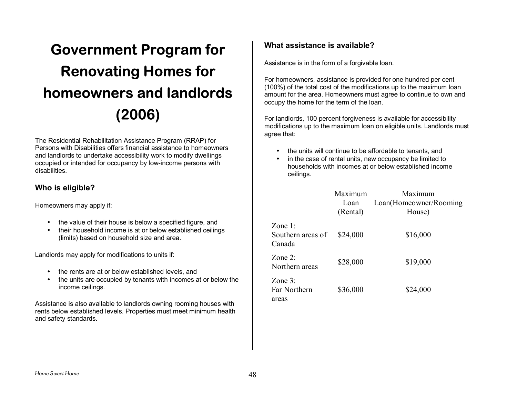# **Government Program for Renovating Homes for homeowners and landlords (2006)**

The Residential Rehabilitation Assistance Program (RRAP) for Persons with Disabilities offers financial assistance to homeowners and landlords to undertake accessibility work to modify dwellings occupied or intended for occupancy by low-income persons with disabilities.

### **Who is eligible?**

Homeowners may apply if:

- the value of their house is below a specified figure, and
- their household income is at or below established ceilings (limits) based on household size and area.

Landlords may apply for modifications to units if:

- the rents are at or below established levels, and
- the units are occupied by tenants with incomes at or below the income ceilings.

Assistance is also available to landlords owning rooming houses with rents below established levels. Properties must meet minimum health and safety standards.

### **What assistance is available?**

Assistance is in the form of a forgivable loan.

For homeowners, assistance is provided for one hundred per cent (100%) of the total cost of the modifications up to the maximum loan amount for the area. Homeowners must agree to continue to own and occupy the home for the term of the loan.

For landlords, 100 percent forgiveness is available for accessibility modifications up to the maximum loan on eligible units. Landlords must agree that:

- the units will continue to be affordable to tenants, and
- in the case of rental units, new occupancy be limited to households with incomes at or below established incomeceilings.

|                                           | Maximum<br>Loan<br>(Rental) | Maximum<br>Loan(Homeowner/Rooming<br>House) |
|-------------------------------------------|-----------------------------|---------------------------------------------|
| Zone $1$ .<br>Southern areas of<br>Canada | \$24,000                    | \$16,000                                    |
| Zone $2^{\cdot}$<br>Northern areas        | \$28,000                    | \$19,000                                    |
| Zone $3$ :<br>Far Northern<br>areas       | \$36,000                    | \$24,000                                    |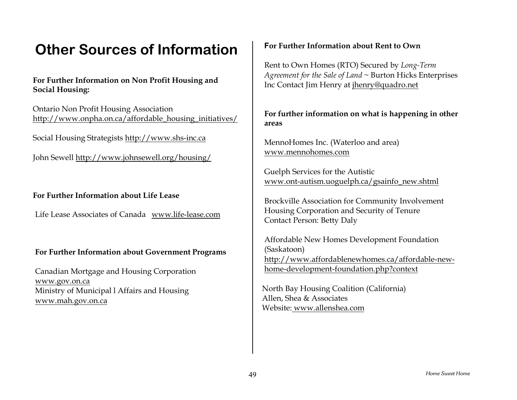### **Other Sources of Information**

### **For Further Information on Non Profit Housing and Social Housing:**

Ontario Non Profit Housing Association http://www.onpha.on.ca/affordable\_housing\_initiatives/

Social Housing Strategists http://www.shs-inc.ca

John Sewell http://www.johnsewell.org/housing/

### **For Further Information about Life Lease**

Life Lease Associates of Canada www.life-lease.com

### **For Further Information about Government Programs**

Canadian Mortgage and Housing Corporation www.gov.on.ca Ministry of Municipal l Affairs and Housing www.mah.gov.on.ca

#### **For Further Information about Rent to Own**

Rent to Own Homes (RTO) Secured by *Long-Term Agreement for the Sale of Land* <sup>~</sup> Burton Hicks Enterprises Inc Contact Jim Henry at jhenry@quadro.net

**For further information on what is happening in other areas** 

MennoHomes Inc. (Waterloo and area) www.mennohomes.com

Guelph Services for the Autistic www.ont-autism.uoguelph.ca/gsainfo\_new.shtml

Brockville Association for Community Involvement Housing Corporation and Security of Tenure Contact Person: Betty Daly

Affordable New Homes Development Foundation (Saskatoon) http://www.affordablenewhomes.ca/affordable-newhome-development-foundation.php?context

North Bay Housing Coalition (California) Allen, Shea & Associates Website: www.allenshea.com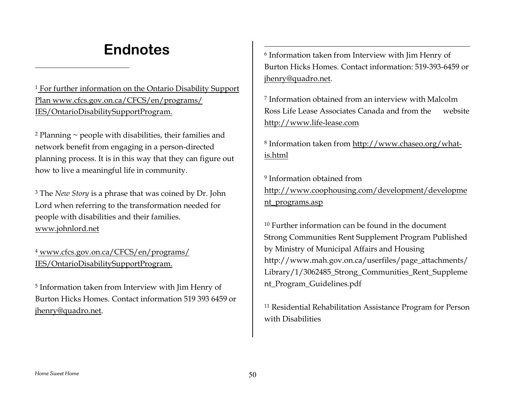### **Endnotes**

<sup>1</sup> For further information on the Ontario Disability Support Plan www.cfcs.gov.on.ca/CFCS/en/programs/ IES/OntarioDisabilitySupportProgram.

 $2$  Planning  $\sim$  people with disabilities, their families and network benefit from engaging in a person-directed planning process. It is in this way that they can figure out how to live a meaningful life in community.

3 The *New Story* is a phrase that was coined by Dr. John Lord when referring to the transformation needed for people with disabilities and their families. www.johnlord.net

4 www.cfcs.gov.on.ca/CFCS/en/programs/ IES/OntarioDisabilitySupportProgram.

5 Information taken from Interview with Jim Henry of Burton Hicks Homes. Contact information 519 393 6459 orjhenry@quadro.net.

6 Information taken from Interview with Jim Henry of Burton Hicks Homes. Contact information: 519-393-6459 orjhenry@quadro.net.

7 Information obtained from an interview with MalcolmRoss Life Lease Associates Canada and from the website http://www.life-lease.com

8 Information taken from http://www.chaseo.org/whatis.html

9 Information obtained fromhttp://www.coophousing.com/development/developme nt\_programs.asp

10 Further information can be found in the document Strong Communities Rent Supplement Program Published by Ministry of Municipal Affairs and Housing http://www.mah.gov.on.ca/userfiles/page\_attachments/ Library/1/3062485\_Strong\_Communities\_Rent\_Suppleme nt\_Program\_Guidelines.pdf

11 Residential Rehabilitation Assistance Program for Person with Disabilities